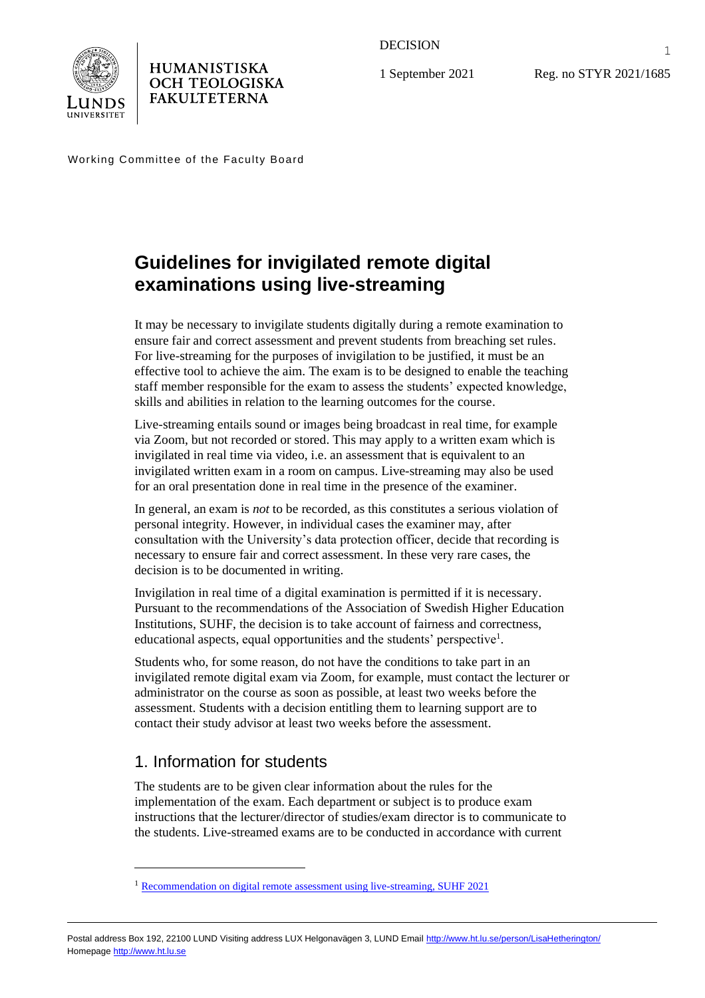

HUMANISTISKA **OCH TEOLOGISKA FAKULTETERNA** 

DECISION

1 September 2021

Reg. no STYR 2021/1685

Working Committee of the Faculty Board

# **Guidelines for invigilated remote digital examinations using live-streaming**

It may be necessary to invigilate students digitally during a remote examination to ensure fair and correct assessment and prevent students from breaching set rules. For live-streaming for the purposes of invigilation to be justified, it must be an effective tool to achieve the aim. The exam is to be designed to enable the teaching staff member responsible for the exam to assess the students' expected knowledge, skills and abilities in relation to the learning outcomes for the course.

Live-streaming entails sound or images being broadcast in real time, for example via Zoom, but not recorded or stored. This may apply to a written exam which is invigilated in real time via video, i.e. an assessment that is equivalent to an invigilated written exam in a room on campus. Live-streaming may also be used for an oral presentation done in real time in the presence of the examiner.

In general, an exam is *not* to be recorded, as this constitutes a serious violation of personal integrity. However, in individual cases the examiner may, after consultation with the University's data protection officer, decide that recording is necessary to ensure fair and correct assessment. In these very rare cases, the decision is to be documented in writing.

Invigilation in real time of a digital examination is permitted if it is necessary. Pursuant to the recommendations of the Association of Swedish Higher Education Institutions, SUHF, the decision is to take account of fairness and correctness, educational aspects, equal opportunities and the students' perspective<sup>1</sup>.

Students who, for some reason, do not have the conditions to take part in an invigilated remote digital exam via Zoom, for example, must contact the lecturer or administrator on the course as soon as possible, at least two weeks before the assessment. Students with a decision entitling them to learning support are to contact their study advisor at least two weeks before the assessment.

# 1. Information for students

The students are to be given clear information about the rules for the implementation of the exam. Each department or subject is to produce exam instructions that the lecturer/director of studies/exam director is to communicate to the students. Live-streamed exams are to be conducted in accordance with current

1

<sup>&</sup>lt;sup>1</sup> [Recommendation on digital remote assessment using live-streaming, SUHF 2021](https://suhf.se/app/uploads/2021/06/REK-2021-3-Digital-examination-med-stöd-av-realtidsströmning_210623.pdf)

Postal address Box 192, 22100 LUND Visiting address LUX Helgonavägen 3, LUND Emai[l http://www.ht.lu.se/person/LisaHetherington/](http://www.ht.lu.se/person/LisaHetherington/) Homepag[e http://www.ht.lu.se](http://www.ht.lu.se/)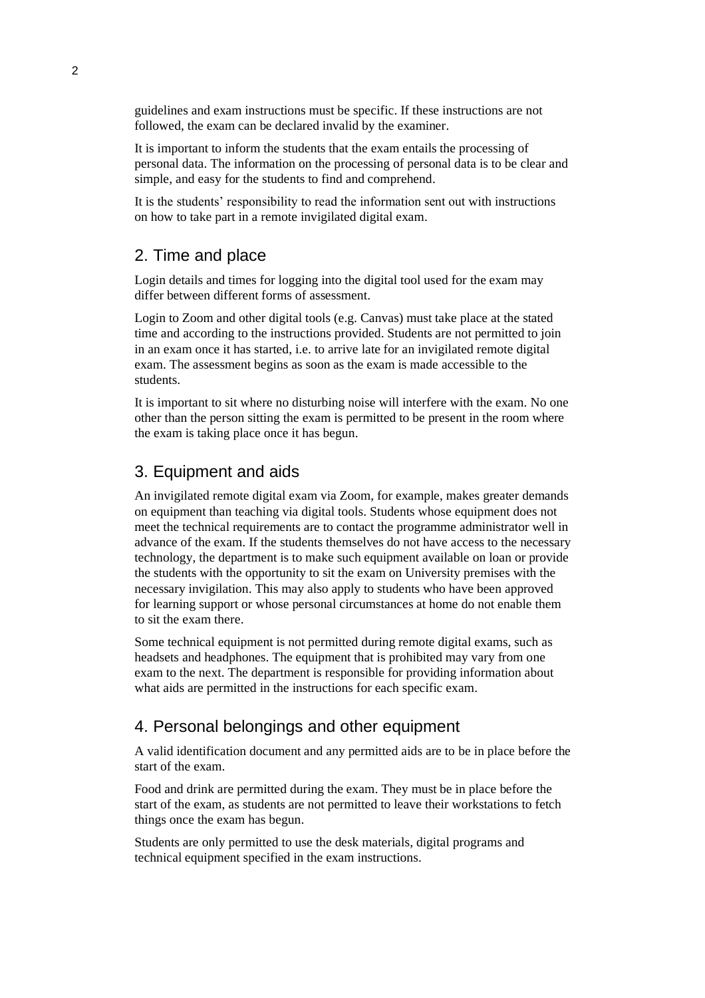guidelines and exam instructions must be specific. If these instructions are not followed, the exam can be declared invalid by the examiner.

It is important to inform the students that the exam entails the processing of personal data. The information on the processing of personal data is to be clear and simple, and easy for the students to find and comprehend.

It is the students' responsibility to read the information sent out with instructions on how to take part in a remote invigilated digital exam.

#### 2. Time and place

Login details and times for logging into the digital tool used for the exam may differ between different forms of assessment.

Login to Zoom and other digital tools (e.g. Canvas) must take place at the stated time and according to the instructions provided. Students are not permitted to join in an exam once it has started, i.e. to arrive late for an invigilated remote digital exam. The assessment begins as soon as the exam is made accessible to the students.

It is important to sit where no disturbing noise will interfere with the exam. No one other than the person sitting the exam is permitted to be present in the room where the exam is taking place once it has begun.

#### 3. Equipment and aids

An invigilated remote digital exam via Zoom, for example, makes greater demands on equipment than teaching via digital tools. Students whose equipment does not meet the technical requirements are to contact the programme administrator well in advance of the exam. If the students themselves do not have access to the necessary technology, the department is to make such equipment available on loan or provide the students with the opportunity to sit the exam on University premises with the necessary invigilation. This may also apply to students who have been approved for learning support or whose personal circumstances at home do not enable them to sit the exam there.

Some technical equipment is not permitted during remote digital exams, such as headsets and headphones. The equipment that is prohibited may vary from one exam to the next. The department is responsible for providing information about what aids are permitted in the instructions for each specific exam.

#### 4. Personal belongings and other equipment

A valid identification document and any permitted aids are to be in place before the start of the exam.

Food and drink are permitted during the exam. They must be in place before the start of the exam, as students are not permitted to leave their workstations to fetch things once the exam has begun.

Students are only permitted to use the desk materials, digital programs and technical equipment specified in the exam instructions.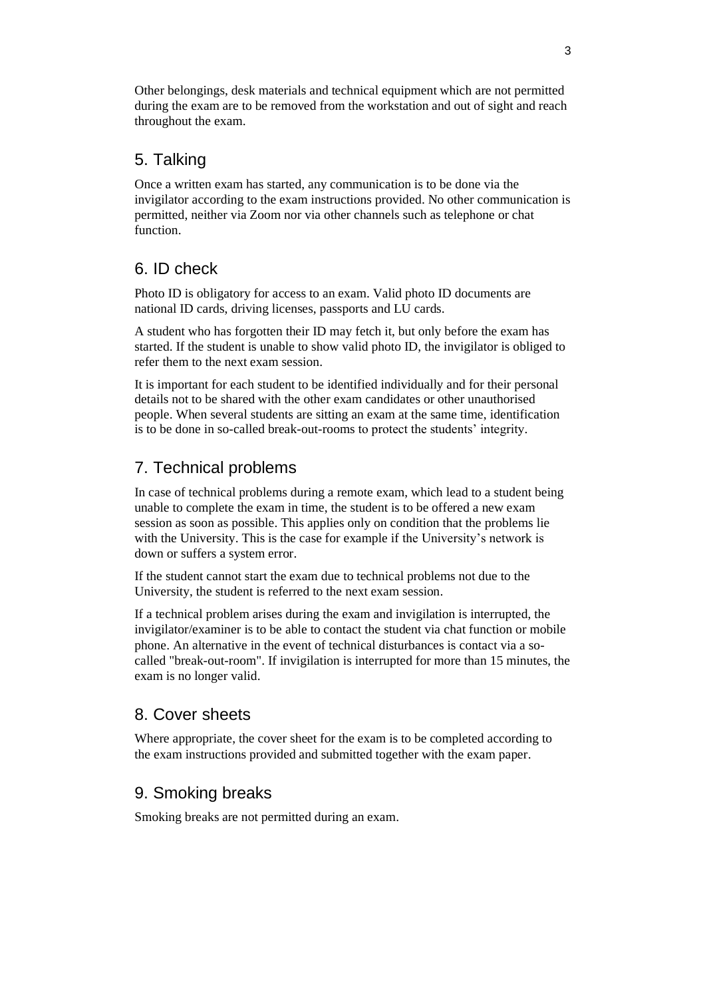Other belongings, desk materials and technical equipment which are not permitted during the exam are to be removed from the workstation and out of sight and reach throughout the exam.

### 5. Talking

Once a written exam has started, any communication is to be done via the invigilator according to the exam instructions provided. No other communication is permitted, neither via Zoom nor via other channels such as telephone or chat function.

## 6. ID check

Photo ID is obligatory for access to an exam. Valid photo ID documents are national ID cards, driving licenses, passports and LU cards.

A student who has forgotten their ID may fetch it, but only before the exam has started. If the student is unable to show valid photo ID, the invigilator is obliged to refer them to the next exam session.

It is important for each student to be identified individually and for their personal details not to be shared with the other exam candidates or other unauthorised people. When several students are sitting an exam at the same time, identification is to be done in so-called break-out-rooms to protect the students' integrity.

# 7. Technical problems

In case of technical problems during a remote exam, which lead to a student being unable to complete the exam in time, the student is to be offered a new exam session as soon as possible. This applies only on condition that the problems lie with the University. This is the case for example if the University's network is down or suffers a system error.

If the student cannot start the exam due to technical problems not due to the University, the student is referred to the next exam session.

If a technical problem arises during the exam and invigilation is interrupted, the invigilator/examiner is to be able to contact the student via chat function or mobile phone. An alternative in the event of technical disturbances is contact via a socalled "break-out-room". If invigilation is interrupted for more than 15 minutes, the exam is no longer valid.

### 8. Cover sheets

Where appropriate, the cover sheet for the exam is to be completed according to the exam instructions provided and submitted together with the exam paper.

# 9. Smoking breaks

Smoking breaks are not permitted during an exam.